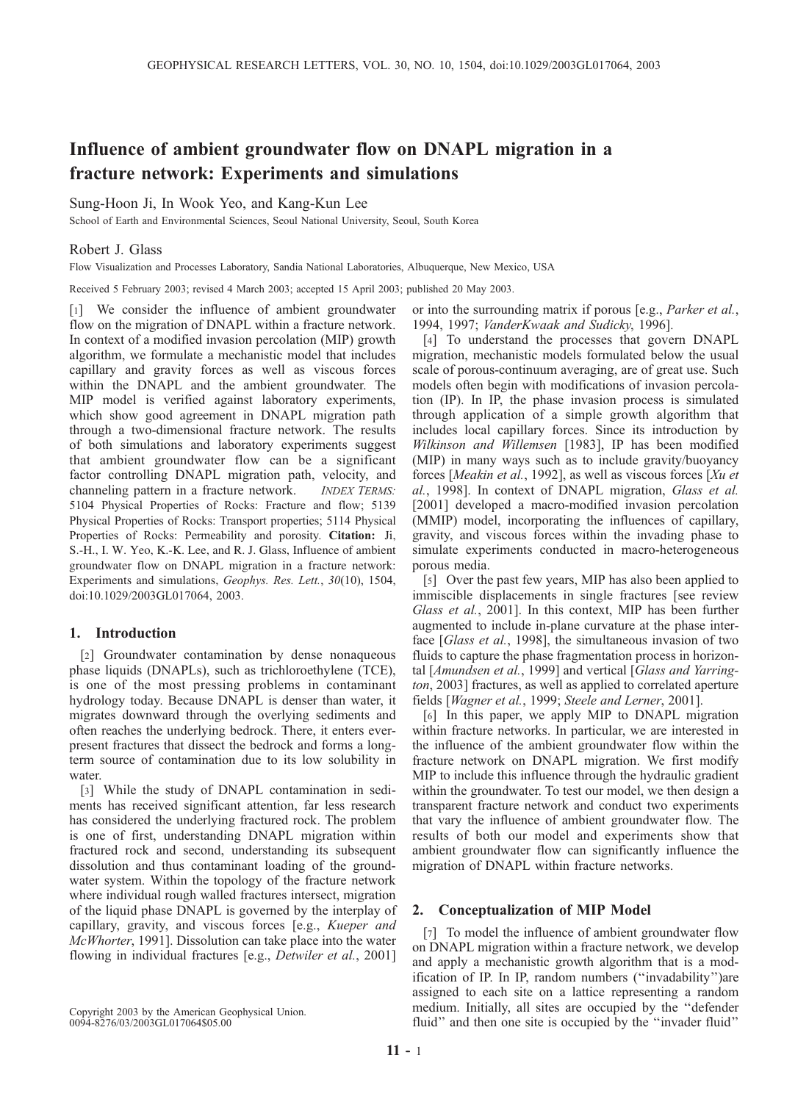# Influence of ambient groundwater flow on DNAPL migration in a fracture network: Experiments and simulations

Sung-Hoon Ji, In Wook Yeo, and Kang-Kun Lee

School of Earth and Environmental Sciences, Seoul National University, Seoul, South Korea

## Robert J. Glass

Flow Visualization and Processes Laboratory, Sandia National Laboratories, Albuquerque, New Mexico, USA

Received 5 February 2003; revised 4 March 2003; accepted 15 April 2003; published 20 May 2003.

[1] We consider the influence of ambient groundwater flow on the migration of DNAPL within a fracture network. In context of a modified invasion percolation (MIP) growth algorithm, we formulate a mechanistic model that includes capillary and gravity forces as well as viscous forces within the DNAPL and the ambient groundwater. The MIP model is verified against laboratory experiments, which show good agreement in DNAPL migration path through a two-dimensional fracture network. The results of both simulations and laboratory experiments suggest that ambient groundwater flow can be a significant factor controlling DNAPL migration path, velocity, and channeling pattern in a fracture network. INDEX TERMS: 5104 Physical Properties of Rocks: Fracture and flow; 5139 Physical Properties of Rocks: Transport properties; 5114 Physical Properties of Rocks: Permeability and porosity. Citation: Ji, S.-H., I. W. Yeo, K.-K. Lee, and R. J. Glass, Influence of ambient groundwater flow on DNAPL migration in a fracture network: Experiments and simulations, Geophys. Res. Lett., 30(10), 1504, doi:10.1029/2003GL017064, 2003.

## 1. Introduction

[2] Groundwater contamination by dense nonaqueous phase liquids (DNAPLs), such as trichloroethylene (TCE), is one of the most pressing problems in contaminant hydrology today. Because DNAPL is denser than water, it migrates downward through the overlying sediments and often reaches the underlying bedrock. There, it enters everpresent fractures that dissect the bedrock and forms a longterm source of contamination due to its low solubility in water.

[3] While the study of DNAPL contamination in sediments has received significant attention, far less research has considered the underlying fractured rock. The problem is one of first, understanding DNAPL migration within fractured rock and second, understanding its subsequent dissolution and thus contaminant loading of the groundwater system. Within the topology of the fracture network where individual rough walled fractures intersect, migration of the liquid phase DNAPL is governed by the interplay of capillary, gravity, and viscous forces [e.g., Kueper and McWhorter, 1991]. Dissolution can take place into the water flowing in individual fractures [e.g., *Detwiler et al.*, 2001]

Copyright 2003 by the American Geophysical Union. 0094-8276/03/2003GL017064\$05.00

or into the surrounding matrix if porous [e.g., Parker et al., 1994, 1997; VanderKwaak and Sudicky, 1996].

[4] To understand the processes that govern DNAPL migration, mechanistic models formulated below the usual scale of porous-continuum averaging, are of great use. Such models often begin with modifications of invasion percolation (IP). In IP, the phase invasion process is simulated through application of a simple growth algorithm that includes local capillary forces. Since its introduction by Wilkinson and Willemsen [1983], IP has been modified (MIP) in many ways such as to include gravity/buoyancy forces [Meakin et al., 1992], as well as viscous forces [Xu et al., 1998]. In context of DNAPL migration, Glass et al. [2001] developed a macro-modified invasion percolation (MMIP) model, incorporating the influences of capillary, gravity, and viscous forces within the invading phase to simulate experiments conducted in macro-heterogeneous porous media.

[5] Over the past few years, MIP has also been applied to immiscible displacements in single fractures [see review Glass et al., 2001]. In this context, MIP has been further augmented to include in-plane curvature at the phase interface [Glass et al., 1998], the simultaneous invasion of two fluids to capture the phase fragmentation process in horizontal [Amundsen et al., 1999] and vertical [Glass and Yarrington, 2003] fractures, as well as applied to correlated aperture fields [Wagner et al., 1999; Steele and Lerner, 2001].

[6] In this paper, we apply MIP to DNAPL migration within fracture networks. In particular, we are interested in the influence of the ambient groundwater flow within the fracture network on DNAPL migration. We first modify MIP to include this influence through the hydraulic gradient within the groundwater. To test our model, we then design a transparent fracture network and conduct two experiments that vary the influence of ambient groundwater flow. The results of both our model and experiments show that ambient groundwater flow can significantly influence the migration of DNAPL within fracture networks.

#### 2. Conceptualization of MIP Model

[7] To model the influence of ambient groundwater flow on DNAPL migration within a fracture network, we develop and apply a mechanistic growth algorithm that is a modification of IP. In IP, random numbers (''invadability'')are assigned to each site on a lattice representing a random medium. Initially, all sites are occupied by the ''defender fluid" and then one site is occupied by the "invader fluid"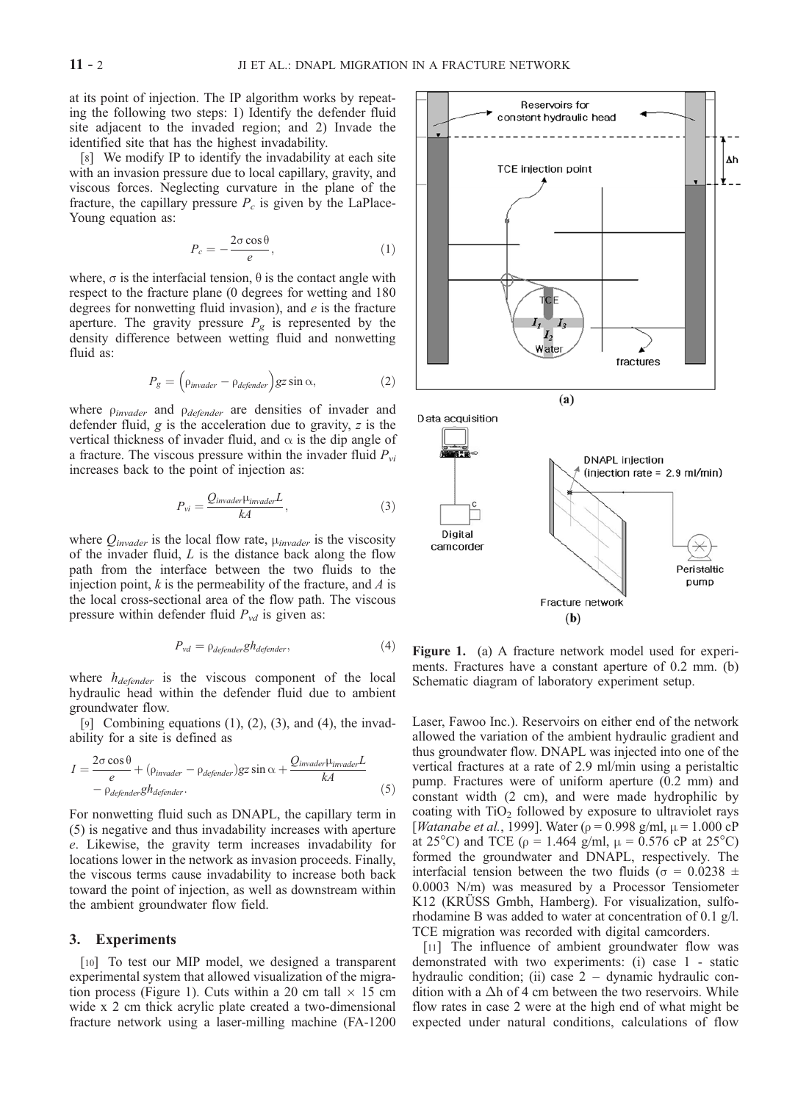at its point of injection. The IP algorithm works by repeating the following two steps: 1) Identify the defender fluid site adjacent to the invaded region; and 2) Invade the identified site that has the highest invadability.

[8] We modify IP to identify the invadability at each site with an invasion pressure due to local capillary, gravity, and viscous forces. Neglecting curvature in the plane of the fracture, the capillary pressure  $P_c$  is given by the LaPlace-Young equation as:

$$
P_c = -\frac{2\sigma \cos \theta}{e},\tag{1}
$$

where,  $\sigma$  is the interfacial tension,  $\theta$  is the contact angle with respect to the fracture plane (0 degrees for wetting and 180 degrees for nonwetting fluid invasion), and  $e$  is the fracture aperture. The gravity pressure  $P_g$  is represented by the density difference between wetting fluid and nonwetting fluid as:

$$
P_g = \left(\rho_{\text{invader}} - \rho_{\text{defender}}\right) g z \sin \alpha,\tag{2}
$$

where  $\rho_{invader}$  and  $\rho_{defender}$  are densities of invader and defender fluid, g is the acceleration due to gravity, z is the vertical thickness of invader fluid, and  $\alpha$  is the dip angle of a fracture. The viscous pressure within the invader fluid  $P_{vi}$ increases back to the point of injection as:

$$
P_{vi} = \frac{Q_{\text{invader}}\mu_{\text{invader}}L}{kA},\tag{3}
$$

where  $Q_{\text{invader}}$  is the local flow rate,  $\mu_{\text{invader}}$  is the viscosity of the invader fluid,  $L$  is the distance back along the flow path from the interface between the two fluids to the injection point,  $k$  is the permeability of the fracture, and  $A$  is the local cross-sectional area of the flow path. The viscous pressure within defender fluid  $P_{vd}$  is given as:

$$
P_{vd} = \rho_{defender} gh_{defender}, \tag{4}
$$

where  $h_{defender}$  is the viscous component of the local hydraulic head within the defender fluid due to ambient groundwater flow.

[9] Combining equations  $(1)$ ,  $(2)$ ,  $(3)$ , and  $(4)$ , the invadability for a site is defined as

$$
I = \frac{2\sigma \cos \theta}{e} + (\rho_{invader} - \rho_{defender})gz \sin \alpha + \frac{Q_{invader} \mu_{invader} L}{kA}
$$
  
-  $\rho_{defender} gh_{defender}$ . (5)

For nonwetting fluid such as DNAPL, the capillary term in (5) is negative and thus invadability increases with aperture e. Likewise, the gravity term increases invadability for locations lower in the network as invasion proceeds. Finally, the viscous terms cause invadability to increase both back toward the point of injection, as well as downstream within the ambient groundwater flow field.

### 3. Experiments

[10] To test our MIP model, we designed a transparent experimental system that allowed visualization of the migration process (Figure 1). Cuts within a 20 cm tall  $\times$  15 cm wide x 2 cm thick acrylic plate created a two-dimensional fracture network using a laser-milling machine (FA-1200



Figure 1. (a) A fracture network model used for experiments. Fractures have a constant aperture of 0.2 mm. (b) Schematic diagram of laboratory experiment setup.

Laser, Fawoo Inc.). Reservoirs on either end of the network allowed the variation of the ambient hydraulic gradient and thus groundwater flow. DNAPL was injected into one of the vertical fractures at a rate of 2.9 ml/min using a peristaltic pump. Fractures were of uniform aperture (0.2 mm) and constant width (2 cm), and were made hydrophilic by coating with  $TiO<sub>2</sub>$  followed by exposure to ultraviolet rays [*Watanabe et al.*, 1999]. Water ( $\rho$  = 0.998 g/ml,  $\mu$  = 1.000 cP at 25<sup>o</sup>C) and TCE ( $\rho = 1.464$  g/ml,  $\mu = 0.576$  cP at 25<sup>o</sup>C) formed the groundwater and DNAPL, respectively. The interfacial tension between the two fluids ( $\sigma = 0.0238 \pm 1$ 0.0003 N/m) was measured by a Processor Tensiometer K12 (KRUSS Gmbh, Hamberg). For visualization, sulforhodamine B was added to water at concentration of 0.1 g/l. TCE migration was recorded with digital camcorders.

[11] The influence of ambient groundwater flow was demonstrated with two experiments: (i) case 1 - static hydraulic condition; (ii) case  $2 -$  dynamic hydraulic condition with a  $\Delta h$  of 4 cm between the two reservoirs. While flow rates in case 2 were at the high end of what might be expected under natural conditions, calculations of flow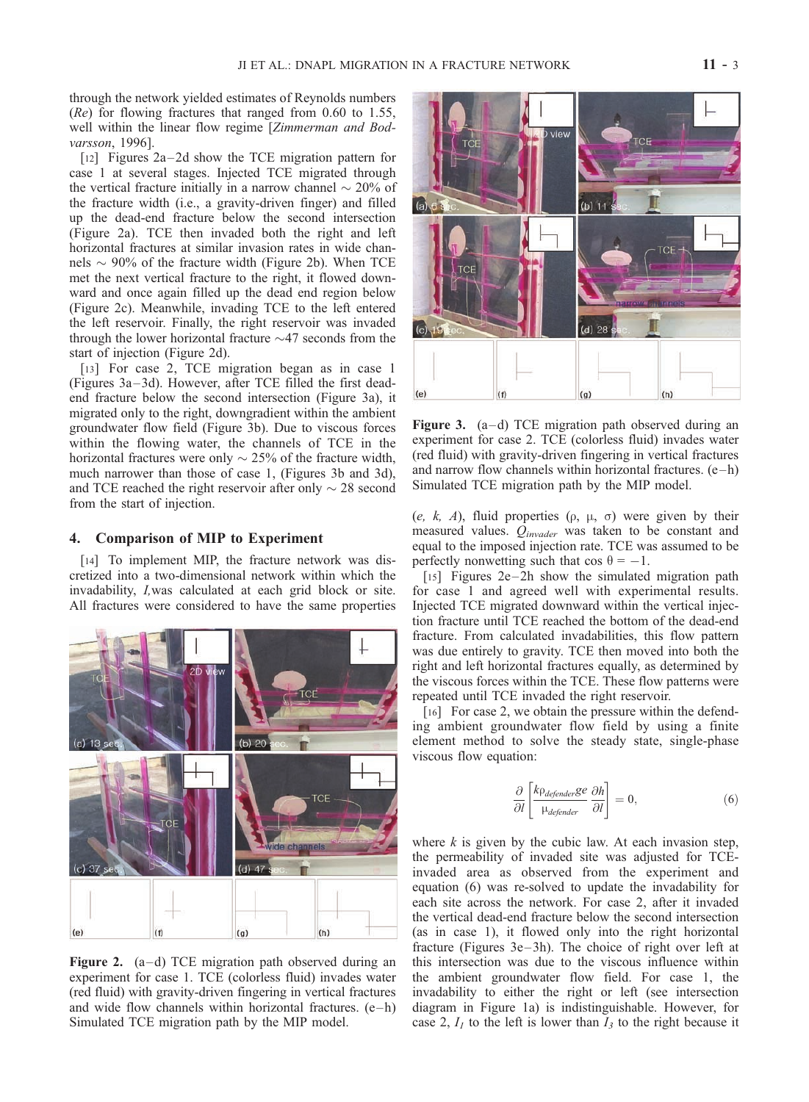through the network yielded estimates of Reynolds numbers  $(Re)$  for flowing fractures that ranged from 0.60 to 1.55, well within the linear flow regime [*Zimmerman and Bod*varsson, 1996].

[12] Figures  $2a-2d$  show the TCE migration pattern for case 1 at several stages. Injected TCE migrated through the vertical fracture initially in a narrow channel  $\sim$  20% of the fracture width (i.e., a gravity-driven finger) and filled up the dead-end fracture below the second intersection (Figure 2a). TCE then invaded both the right and left horizontal fractures at similar invasion rates in wide channels  $\sim$  90% of the fracture width (Figure 2b). When TCE met the next vertical fracture to the right, it flowed downward and once again filled up the dead end region below (Figure 2c). Meanwhile, invading TCE to the left entered the left reservoir. Finally, the right reservoir was invaded through the lower horizontal fracture  $\sim$ 47 seconds from the start of injection (Figure 2d).

[13] For case 2, TCE migration began as in case 1 (Figures 3a –3d). However, after TCE filled the first deadend fracture below the second intersection (Figure 3a), it migrated only to the right, downgradient within the ambient groundwater flow field (Figure 3b). Due to viscous forces within the flowing water, the channels of TCE in the horizontal fractures were only  $\sim$  25% of the fracture width, much narrower than those of case 1, (Figures 3b and 3d), and TCE reached the right reservoir after only  $\sim$  28 second from the start of injection.

#### 4. Comparison of MIP to Experiment

[14] To implement MIP, the fracture network was discretized into a two-dimensional network within which the invadability, I,was calculated at each grid block or site. All fractures were considered to have the same properties



Figure 2.  $(a-d)$  TCE migration path observed during an experiment for case 1. TCE (colorless fluid) invades water (red fluid) with gravity-driven fingering in vertical fractures and wide flow channels within horizontal fractures.  $(e-h)$ Simulated TCE migration path by the MIP model.



Figure 3.  $(a-d)$  TCE migration path observed during an experiment for case 2. TCE (colorless fluid) invades water (red fluid) with gravity-driven fingering in vertical fractures and narrow flow channels within horizontal fractures.  $(e-h)$ Simulated TCE migration path by the MIP model.

(e, k, A), fluid properties ( $\rho$ ,  $\mu$ ,  $\sigma$ ) were given by their measured values.  $Q_{invader}$  was taken to be constant and equal to the imposed injection rate. TCE was assumed to be perfectly nonwetting such that  $\cos \theta = -1$ .

[15] Figures  $2e-2h$  show the simulated migration path for case 1 and agreed well with experimental results. Injected TCE migrated downward within the vertical injection fracture until TCE reached the bottom of the dead-end fracture. From calculated invadabilities, this flow pattern was due entirely to gravity. TCE then moved into both the right and left horizontal fractures equally, as determined by the viscous forces within the TCE. These flow patterns were repeated until TCE invaded the right reservoir.

[16] For case 2, we obtain the pressure within the defending ambient groundwater flow field by using a finite element method to solve the steady state, single-phase viscous flow equation:

$$
\frac{\partial}{\partial l} \left[ \frac{k \rho_{defender} ge}{\mu_{defender}} \frac{\partial h}{\partial l} \right] = 0, \tag{6}
$$

where  $k$  is given by the cubic law. At each invasion step, the permeability of invaded site was adjusted for TCEinvaded area as observed from the experiment and equation (6) was re-solved to update the invadability for each site across the network. For case 2, after it invaded the vertical dead-end fracture below the second intersection (as in case 1), it flowed only into the right horizontal fracture (Figures 3e-3h). The choice of right over left at this intersection was due to the viscous influence within the ambient groundwater flow field. For case 1, the invadability to either the right or left (see intersection diagram in Figure 1a) is indistinguishable. However, for case 2,  $I_1$  to the left is lower than  $I_3$  to the right because it